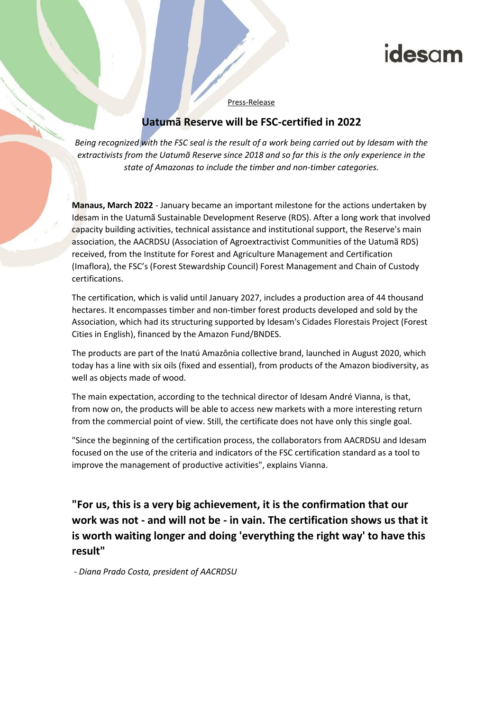## idesam

Press-Release

## **Uatumã Reserve will be FSC-certified in 2022**

*Being recognized with the FSC seal is the result of a work being carried out by Idesam with the extractivists from the Uatumã Reserve since 2018 and so far this is the only experience in the state of Amazonas to include the timber and non-timber categories.*

**Manaus, March 2022** - January became an important milestone for the actions undertaken by Idesam in the Uatumã Sustainable Development Reserve (RDS). After a long work that involved capacity building activities, technical assistance and institutional support, the Reserve's main association, the AACRDSU (Association of Agroextractivist Communities of the Uatumã RDS) received, from the Institute for Forest and Agriculture Management and Certification (Imaflora), the FSC's (Forest Stewardship Council) Forest Management and Chain of Custody certifications.

The certification, which is valid until January 2027, includes a production area of 44 thousand hectares. It encompasses timber and non-timber forest products developed and sold by the Association, which had its structuring supported by Idesam's Cidades Florestais Project (Forest Cities in English), financed by the Amazon Fund/BNDES.

The products are part of the Inatú Amazônia collective brand, launched in August 2020, which today has a line with six oils (fixed and essential), from products of the Amazon biodiversity, as well as objects made of wood.

The main expectation, according to the technical director of Idesam André Vianna, is that, from now on, the products will be able to access new markets with a more interesting return from the commercial point of view. Still, the certificate does not have only this single goal.

"Since the beginning of the certification process, the collaborators from AACRDSU and Idesam focused on the use of the criteria and indicators of the FSC certification standard as a tool to improve the management of productive activities", explains Vianna.

**"For us, this is a very big achievement, it is the confirmation that our work was not - and will not be - in vain. The certification shows us that it is worth waiting longer and doing 'everything the right way' to have this result"**

*- Diana Prado Costa, president of AACRDSU*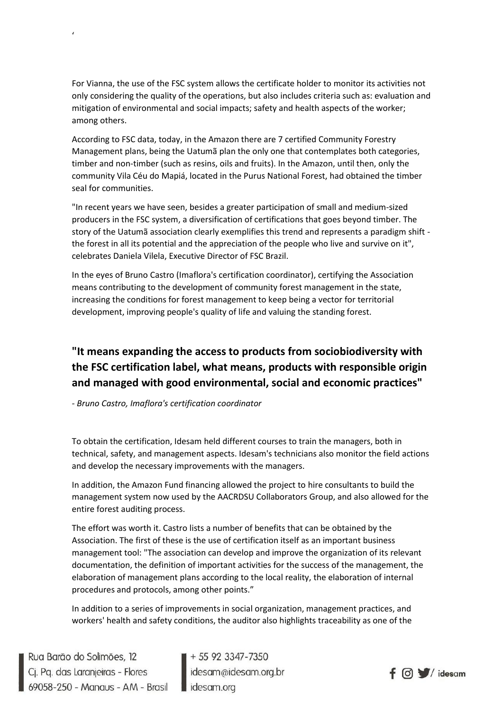For Vianna, the use of the FSC system allows the certificate holder to monitor its activities not only considering the quality of the operations, but also includes criteria such as: evaluation and mitigation of environmental and social impacts; safety and health aspects of the worker; among others.

According to FSC data, today, in the Amazon there are 7 certified Community Forestry Management plans, being the Uatumã plan the only one that contemplates both categories, timber and non-timber (such as resins, oils and fruits). In the Amazon, until then, only the community Vila Céu do Mapiá, located in the Purus National Forest, had obtained the timber seal for communities.

"In recent years we have seen, besides a greater participation of small and medium-sized producers in the FSC system, a diversification of certifications that goes beyond timber. The story of the Uatumã association clearly exemplifies this trend and represents a paradigm shift the forest in all its potential and the appreciation of the people who live and survive on it", celebrates Daniela Vilela, Executive Director of FSC Brazil.

In the eyes of Bruno Castro (Imaflora's certification coordinator), certifying the Association means contributing to the development of community forest management in the state, increasing the conditions for forest management to keep being a vector for territorial development, improving people's quality of life and valuing the standing forest.

## **"It means expanding the access to products from sociobiodiversity with the FSC certification label, what means, products with responsible origin and managed with good environmental, social and economic practices"**

*- Bruno Castro, Imaflora's certification coordinator*

To obtain the certification, Idesam held different courses to train the managers, both in technical, safety, and management aspects. Idesam's technicians also monitor the field actions and develop the necessary improvements with the managers.

In addition, the Amazon Fund financing allowed the project to hire consultants to build the management system now used by the AACRDSU Collaborators Group, and also allowed for the entire forest auditing process.

The effort was worth it. Castro lists a number of benefits that can be obtained by the Association. The first of these is the use of certification itself as an important business management tool: "The association can develop and improve the organization of its relevant documentation, the definition of important activities for the success of the management, the elaboration of management plans according to the local reality, the elaboration of internal procedures and protocols, among other points."

In addition to a series of improvements in social organization, management practices, and workers' health and safety conditions, the auditor also highlights traceability as one of the

Rua Barão do Solimões, 12<br>Cj. Pq. das Laranjeiras - Flores<br>69058-250 - Manaus - AM - Brasil desamoidesam.org.br

'